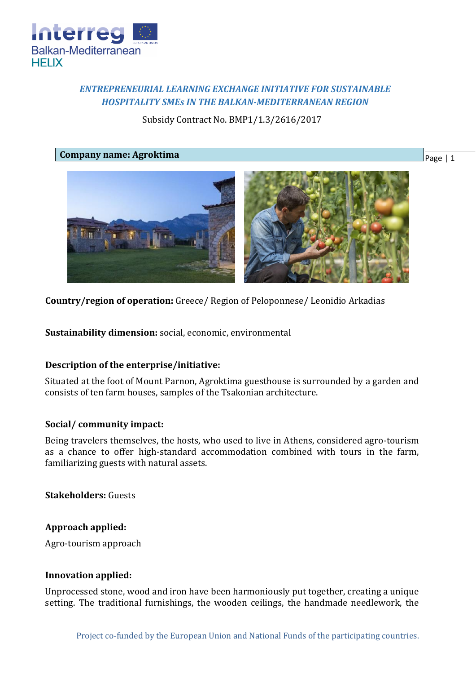

# *ENTREPRENEURIAL LEARNING EXCHANGE INITIATIVE FOR SUSTAINABLE HOSPITALITY SMEs IN THE BALKAN-MEDITERRANEAN REGION*

Subsidy Contract No. BMP1/1.3/2616/2017

**Company name: Agroktima**

Page | 1



**Country/region of operation:** Greece/ Region of Peloponnese/ Leonidio Arkadias

**Sustainability dimension:** social, economic, environmental

## **Description of the enterprise/initiative:**

Situated at the foot of Mount Parnon, Agroktima guesthouse is surrounded by a garden and consists of ten farm houses, samples of the Tsakonian architecture.

## **Social/ community impact:**

Being travelers themselves, the hosts, who used to live in Athens, considered agro-tourism as a chance to offer high-standard accommodation combined with tours in the farm, familiarizing guests with natural assets.

**Stakeholders:** Guests

## **Approach applied:**

Agro-tourism approach

### **Innovation applied:**

Unprocessed stone, wood and iron have been harmoniously put together, creating a unique setting. The traditional furnishings, the wooden ceilings, the handmade needlework, the